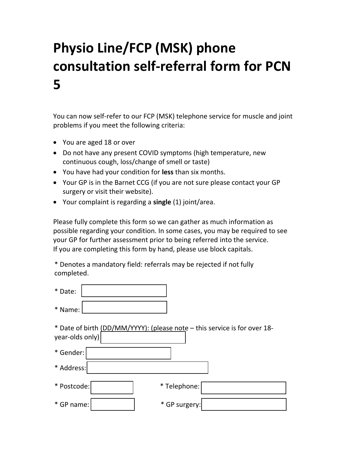## Physio Line/FCP (MSK) phone consultation self-referral form for PCN 5

You can now self-refer to our FCP (MSK) telephone service for muscle and joint problems if you meet the following criteria:

- You are aged 18 or over
- Do not have any present COVID symptoms (high temperature, new continuous cough, loss/change of smell or taste)
- You have had your condition for less than six months.
- Your GP is in the Barnet CCG (if you are not sure please contact your GP surgery or visit their website).
- Your complaint is regarding a **single** (1) joint/area.

Please fully complete this form so we can gather as much information as possible regarding your condition. In some cases, you may be required to see your GP for further assessment prior to being referred into the service. If you are completing this form by hand, please use block capitals.

\* Denotes a mandatory field: referrals may be rejected if not fully completed.

| * Date:         |                                                                           |  |
|-----------------|---------------------------------------------------------------------------|--|
| * Name:         |                                                                           |  |
| year-olds only) | * Date of birth (DD/MM/YYYY): (please note - this service is for over 18- |  |
| * Gender:       |                                                                           |  |
| * Address:      |                                                                           |  |

| * Postcode: | * Telephone:  |  |
|-------------|---------------|--|
| * GP name:  | * GP surgery: |  |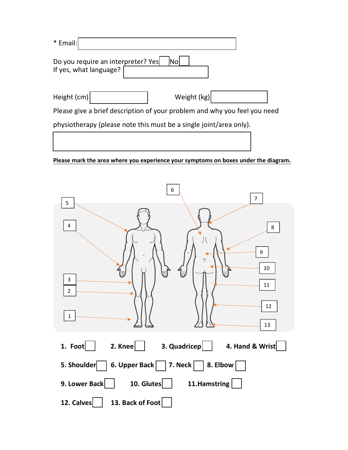| * Email:                                                                  |             |  |  |  |  |
|---------------------------------------------------------------------------|-------------|--|--|--|--|
| Do you require an interpreter? Yes<br>If yes, what language?              | Nol         |  |  |  |  |
| Height (cm)                                                               | Weight (kg) |  |  |  |  |
| Please give a brief description of your problem and why you feel you need |             |  |  |  |  |
| physiotherapy (please note this must be a single joint/area only).        |             |  |  |  |  |
|                                                                           |             |  |  |  |  |

Please mark the area where you experience your symptoms on boxes under the diagram.